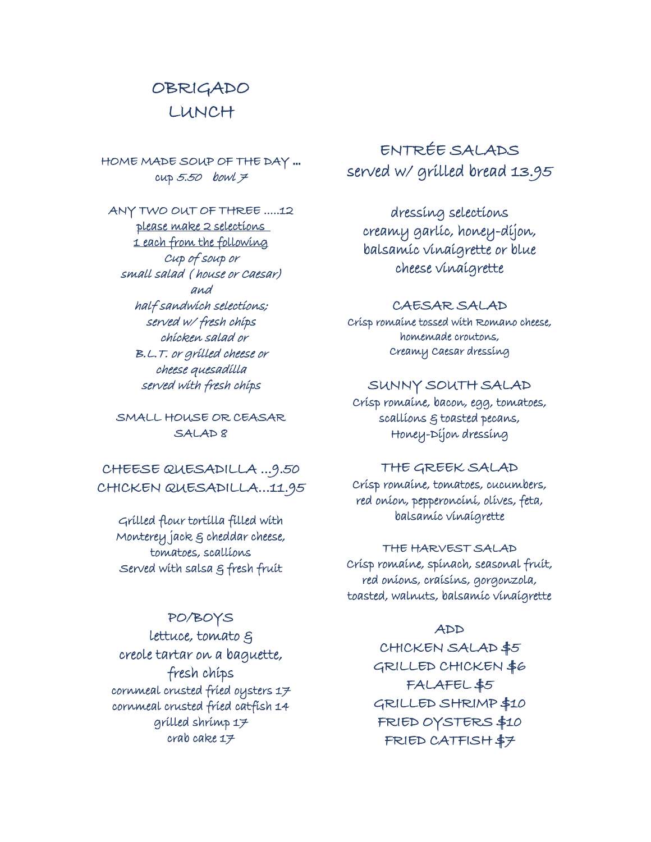# OBRIGADO LUNCH

HOME MADE SOUP OF THE DAY ...  $cusp$  5.50 bowl 7

ANY TWO OUT OF THREE .....12 please make 2 selections 1 each from the following Cup of soup or small salad ( house or Caesar) and half sandwich selections; served w/ fresh chips chicken salad or B.L.T. or grilled cheese or cheese quesadilla served with fresh chips

SMALL HOUSE OR CEASAR SALAD 8

CHEESE QUESADILLA ...9.50 CHICKEN QUESADILLA…11.95

Grilled flour tortilla filled with Monterey jack & cheddar cheese, tomatoes, scallions Served with salsa & fresh fruit

# PO/BOYS

lettuce, tomato & creole tartar on a baguette, fresh chips cornmeal crusted fried oysters 17 cornmeal crusted fried catfish 14 grilled shrimp 17 crab cake  $17$ 

ENTRÉE SALADS served w/ grilled bread 13.95

dressing selections creamy garlic, honey-dijon, balsamic vinaigrette or blue cheese vinaigrette

#### CAESAR SALAD

Crisp romaine tossed with Romano cheese, homemade croutons, Creamy Caesar dressing

# SUNNY SOUTH SALAD

Crisp romaine, bacon, egg, tomatoes, scallions & toasted pecans, Honey-Dijon dressing

#### THE GREEK SALAD

Crisp romaine, tomatoes, cucumbers, red onion, pepperoncini, olives, feta, balsamic vinaigrette

#### THE HARVEST SALAD

Crisp romaine, spinach, seasonal fruit, red onions, craisins, gorgonzola, toasted, walnuts, balsamic vinaigrette

# ADD

CHICKEN SALAD \$5 GRILLED CHICKEN \$6 FALAFEL \$5 GRILLED SHRIMP \$10 FRIED OYSTERS \$10 FRIED CATFISH \$7